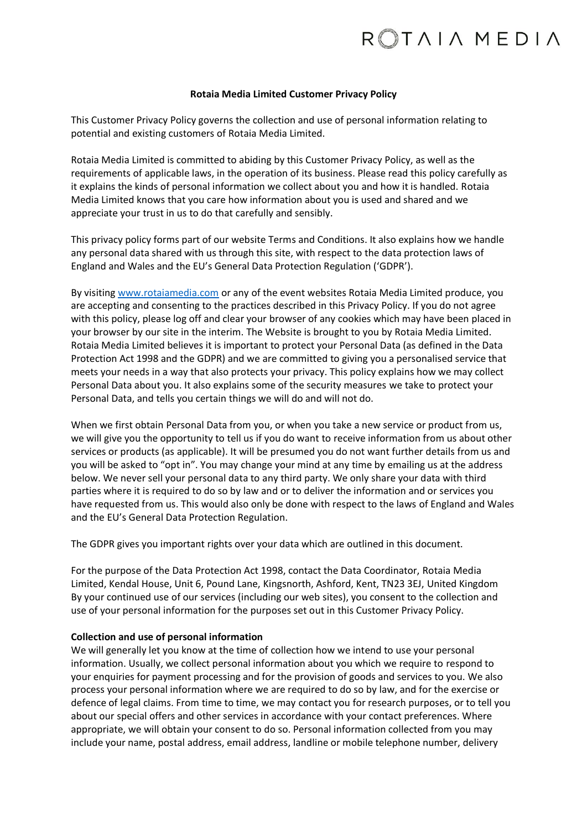#### **Rotaia Media Limited Customer Privacy Policy**

This Customer Privacy Policy governs the collection and use of personal information relating to potential and existing customers of Rotaia Media Limited.

Rotaia Media Limited is committed to abiding by this Customer Privacy Policy, as well as the requirements of applicable laws, in the operation of its business. Please read this policy carefully as it explains the kinds of personal information we collect about you and how it is handled. Rotaia Media Limited knows that you care how information about you is used and shared and we appreciate your trust in us to do that carefully and sensibly.

This privacy policy forms part of our website Terms and Conditions. It also explains how we handle any personal data shared with us through this site, with respect to the data protection laws of England and Wales and the EU's General Data Protection Regulation ('GDPR').

By visitin[g www.rotaiamedia.com](http://www.rotaiamedia.com/) or any of the event websites Rotaia Media Limited produce, you are accepting and consenting to the practices described in this Privacy Policy. If you do not agree with this policy, please log off and clear your browser of any cookies which may have been placed in your browser by our site in the interim. The Website is brought to you by Rotaia Media Limited. Rotaia Media Limited believes it is important to protect your Personal Data (as defined in the Data Protection Act 1998 and the GDPR) and we are committed to giving you a personalised service that meets your needs in a way that also protects your privacy. This policy explains how we may collect Personal Data about you. It also explains some of the security measures we take to protect your Personal Data, and tells you certain things we will do and will not do.

When we first obtain Personal Data from you, or when you take a new service or product from us, we will give you the opportunity to tell us if you do want to receive information from us about other services or products (as applicable). It will be presumed you do not want further details from us and you will be asked to "opt in". You may change your mind at any time by emailing us at the address below. We never sell your personal data to any third party. We only share your data with third parties where it is required to do so by law and or to deliver the information and or services you have requested from us. This would also only be done with respect to the laws of England and Wales and the EU's General Data Protection Regulation.

The GDPR gives you important rights over your data which are outlined in this document.

For the purpose of the Data Protection Act 1998, contact the Data Coordinator, Rotaia Media Limited, Kendal House, Unit 6, Pound Lane, Kingsnorth, Ashford, Kent, TN23 3EJ, United Kingdom By your continued use of our services (including our web sites), you consent to the collection and use of your personal information for the purposes set out in this Customer Privacy Policy.

## **Collection and use of personal information**

We will generally let you know at the time of collection how we intend to use your personal information. Usually, we collect personal information about you which we require to respond to your enquiries for payment processing and for the provision of goods and services to you. We also process your personal information where we are required to do so by law, and for the exercise or defence of legal claims. From time to time, we may contact you for research purposes, or to tell you about our special offers and other services in accordance with your contact preferences. Where appropriate, we will obtain your consent to do so. Personal information collected from you may include your name, postal address, email address, landline or mobile telephone number, delivery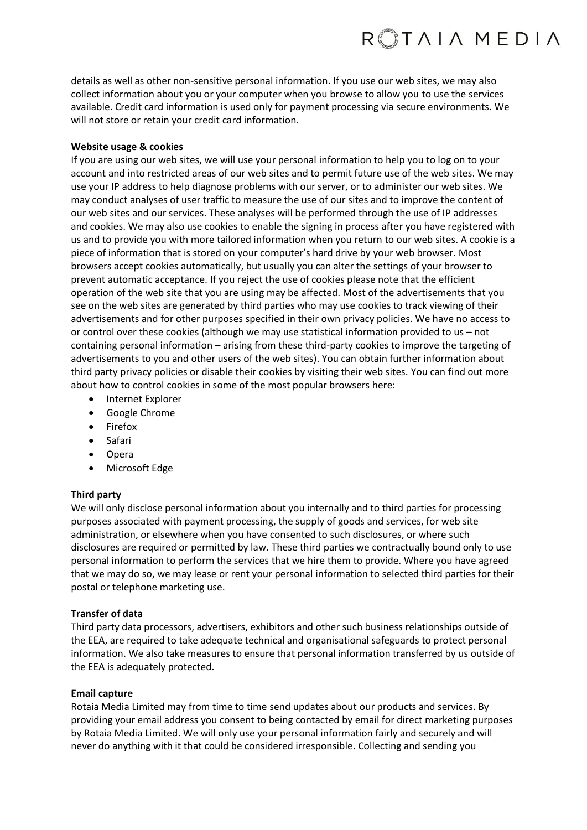# ROTAIA MEDIA

details as well as other non-sensitive personal information. If you use our web sites, we may also collect information about you or your computer when you browse to allow you to use the services available. Credit card information is used only for payment processing via secure environments. We will not store or retain your credit card information.

## **Website usage & cookies**

If you are using our web sites, we will use your personal information to help you to log on to your account and into restricted areas of our web sites and to permit future use of the web sites. We may use your IP address to help diagnose problems with our server, or to administer our web sites. We may conduct analyses of user traffic to measure the use of our sites and to improve the content of our web sites and our services. These analyses will be performed through the use of IP addresses and cookies. We may also use cookies to enable the signing in process after you have registered with us and to provide you with more tailored information when you return to our web sites. A cookie is a piece of information that is stored on your computer's hard drive by your web browser. Most browsers accept cookies automatically, but usually you can alter the settings of your browser to prevent automatic acceptance. If you reject the use of cookies please note that the efficient operation of the web site that you are using may be affected. Most of the advertisements that you see on the web sites are generated by third parties who may use cookies to track viewing of their advertisements and for other purposes specified in their own privacy policies. We have no access to or control over these cookies (although we may use statistical information provided to us – not containing personal information – arising from these third-party cookies to improve the targeting of advertisements to you and other users of the web sites). You can obtain further information about third party privacy policies or disable their cookies by visiting their web sites. You can find out more about how to control cookies in some of the most popular browsers here:

- Internet Explorer
- Google Chrome
- Firefox
- Safari
- Opera
- Microsoft Edge

## **Third party**

We will only disclose personal information about you internally and to third parties for processing purposes associated with payment processing, the supply of goods and services, for web site administration, or elsewhere when you have consented to such disclosures, or where such disclosures are required or permitted by law. These third parties we contractually bound only to use personal information to perform the services that we hire them to provide. Where you have agreed that we may do so, we may lease or rent your personal information to selected third parties for their postal or telephone marketing use.

## **Transfer of data**

Third party data processors, advertisers, exhibitors and other such business relationships outside of the EEA, are required to take adequate technical and organisational safeguards to protect personal information. We also take measures to ensure that personal information transferred by us outside of the EEA is adequately protected.

## **Email capture**

Rotaia Media Limited may from time to time send updates about our products and services. By providing your email address you consent to being contacted by email for direct marketing purposes by Rotaia Media Limited. We will only use your personal information fairly and securely and will never do anything with it that could be considered irresponsible. Collecting and sending you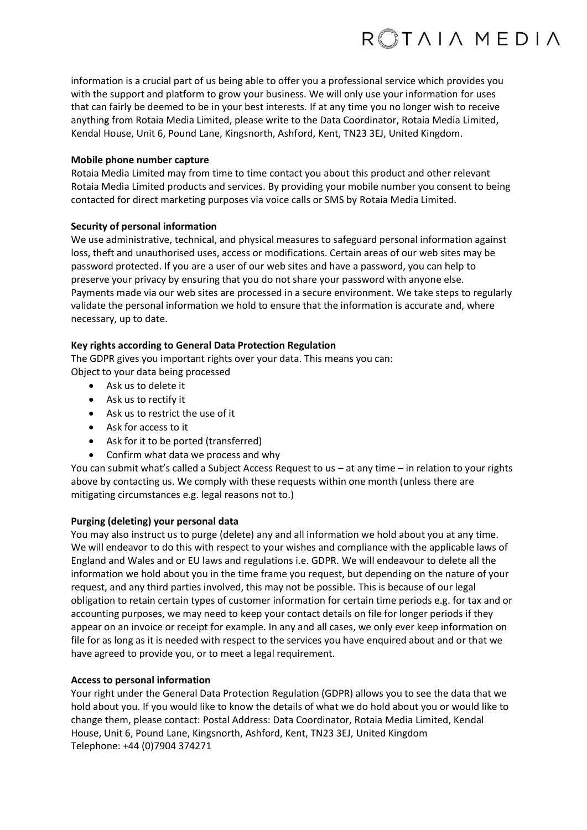

information is a crucial part of us being able to offer you a professional service which provides you with the support and platform to grow your business. We will only use your information for uses that can fairly be deemed to be in your best interests. If at any time you no longer wish to receive anything from Rotaia Media Limited, please write to the Data Coordinator, Rotaia Media Limited, Kendal House, Unit 6, Pound Lane, Kingsnorth, Ashford, Kent, TN23 3EJ, United Kingdom.

#### **Mobile phone number capture**

Rotaia Media Limited may from time to time contact you about this product and other relevant Rotaia Media Limited products and services. By providing your mobile number you consent to being contacted for direct marketing purposes via voice calls or SMS by Rotaia Media Limited.

## **Security of personal information**

We use administrative, technical, and physical measures to safeguard personal information against loss, theft and unauthorised uses, access or modifications. Certain areas of our web sites may be password protected. If you are a user of our web sites and have a password, you can help to preserve your privacy by ensuring that you do not share your password with anyone else. Payments made via our web sites are processed in a secure environment. We take steps to regularly validate the personal information we hold to ensure that the information is accurate and, where necessary, up to date.

## **Key rights according to General Data Protection Regulation**

The GDPR gives you important rights over your data. This means you can: Object to your data being processed

- Ask us to delete it
- Ask us to rectify it
- Ask us to restrict the use of it
- Ask for access to it
- Ask for it to be ported (transferred)
- Confirm what data we process and why

You can submit what's called a Subject Access Request to us – at any time – in relation to your rights above by contacting us. We comply with these requests within one month (unless there are mitigating circumstances e.g. legal reasons not to.)

## **Purging (deleting) your personal data**

You may also instruct us to purge (delete) any and all information we hold about you at any time. We will endeavor to do this with respect to your wishes and compliance with the applicable laws of England and Wales and or EU laws and regulations i.e. GDPR. We will endeavour to delete all the information we hold about you in the time frame you request, but depending on the nature of your request, and any third parties involved, this may not be possible. This is because of our legal obligation to retain certain types of customer information for certain time periods e.g. for tax and or accounting purposes, we may need to keep your contact details on file for longer periods if they appear on an invoice or receipt for example. In any and all cases, we only ever keep information on file for as long as it is needed with respect to the services you have enquired about and or that we have agreed to provide you, or to meet a legal requirement.

## **Access to personal information**

Your right under the General Data Protection Regulation (GDPR) allows you to see the data that we hold about you. If you would like to know the details of what we do hold about you or would like to change them, please contact: Postal Address: Data Coordinator, Rotaia Media Limited, Kendal House, Unit 6, Pound Lane, Kingsnorth, Ashford, Kent, TN23 3EJ, United Kingdom Telephone: +44 (0)7904 374271